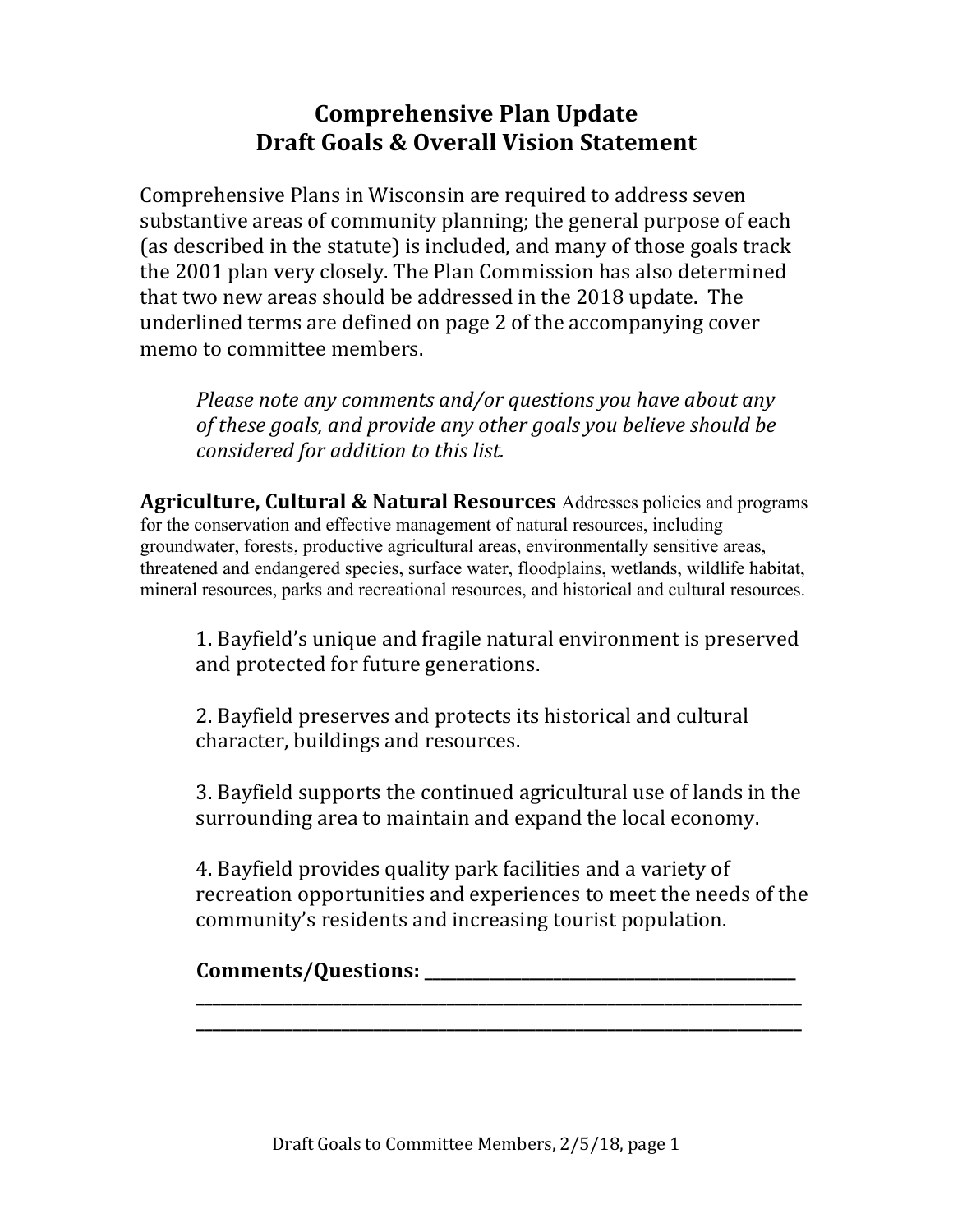## **Comprehensive Plan Update Draft Goals & Overall Vision Statement**

Comprehensive Plans in Wisconsin are required to address seven substantive areas of community planning; the general purpose of each (as described in the statute) is included, and many of those goals track the 2001 plan very closely. The Plan Commission has also determined that two new areas should be addressed in the 2018 update. The underlined terms are defined on page 2 of the accompanying cover memo to committee members.

*Please note any comments and/or questions you have about any* of these goals, and provide any other goals you believe should be *considered for addition to this list.* 

**Agriculture, Cultural & Natural Resources** Addresses policies and programs for the conservation and effective management of natural resources, including groundwater, forests, productive agricultural areas, environmentally sensitive areas, threatened and endangered species, surface water, floodplains, wetlands, wildlife habitat, mineral resources, parks and recreational resources, and historical and cultural resources.

1. Bayfield's unique and fragile natural environment is preserved and protected for future generations.

2. Bayfield preserves and protects its historical and cultural character, buildings and resources.

3. Bayfield supports the continued agricultural use of lands in the surrounding area to maintain and expand the local economy.

4. Bayfield provides quality park facilities and a variety of recreation opportunities and experiences to meet the needs of the community's residents and increasing tourist population.

**\_\_\_\_\_\_\_\_\_\_\_\_\_\_\_\_\_\_\_\_\_\_\_\_\_\_\_\_\_\_\_\_\_\_\_\_\_\_\_\_\_\_\_\_\_\_\_\_\_\_\_\_\_\_\_\_\_\_\_\_\_\_\_\_\_\_\_\_\_\_\_\_\_\_\_ \_\_\_\_\_\_\_\_\_\_\_\_\_\_\_\_\_\_\_\_\_\_\_\_\_\_\_\_\_\_\_\_\_\_\_\_\_\_\_\_\_\_\_\_\_\_\_\_\_\_\_\_\_\_\_\_\_\_\_\_\_\_\_\_\_\_\_\_\_\_\_\_\_\_\_**

## **Comments/Questions:**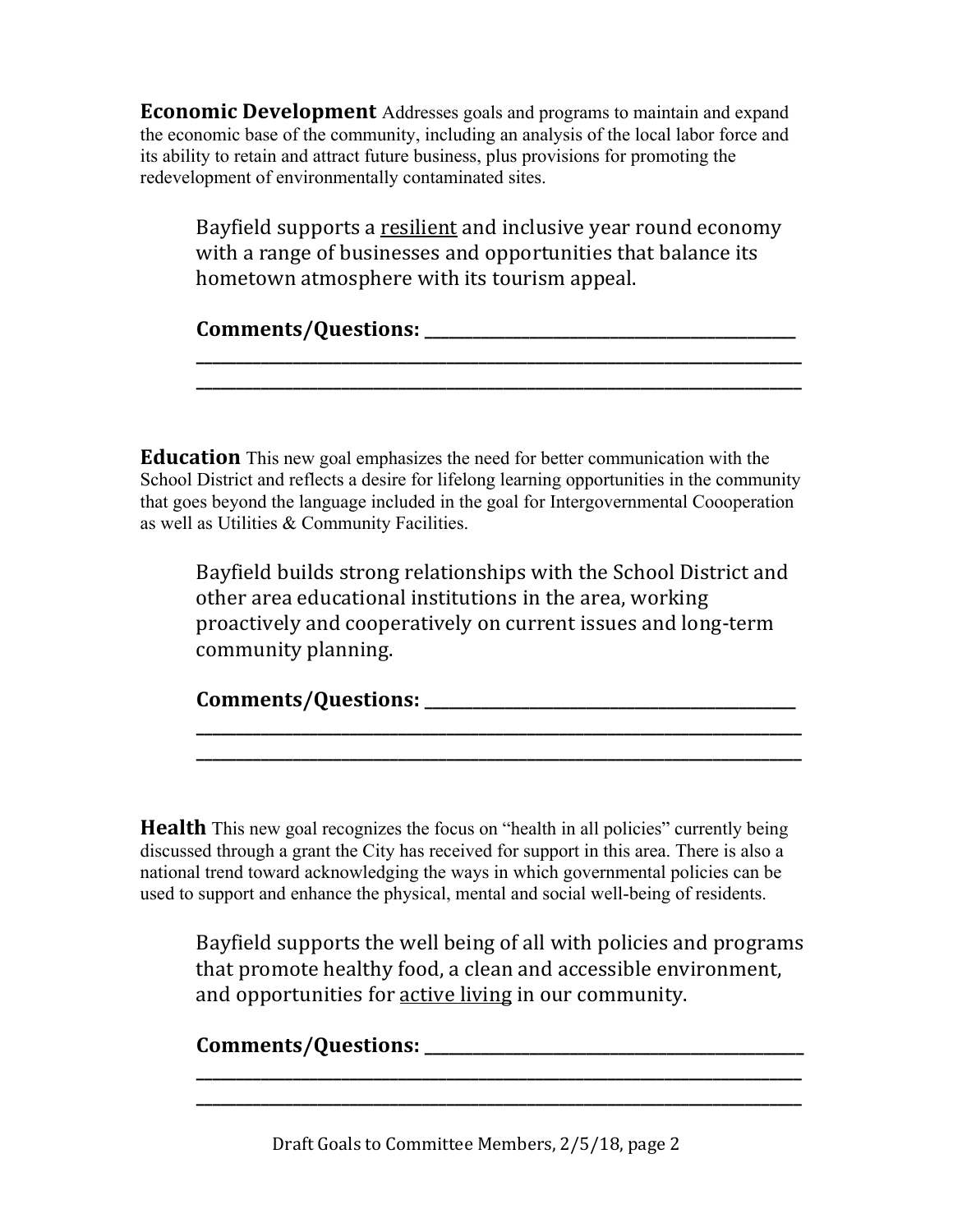**Economic Development** Addresses goals and programs to maintain and expand the economic base of the community, including an analysis of the local labor force and its ability to retain and attract future business, plus provisions for promoting the redevelopment of environmentally contaminated sites.

Bayfield supports a resilient and inclusive year round economy with a range of businesses and opportunities that balance its hometown atmosphere with its tourism appeal.

**\_\_\_\_\_\_\_\_\_\_\_\_\_\_\_\_\_\_\_\_\_\_\_\_\_\_\_\_\_\_\_\_\_\_\_\_\_\_\_\_\_\_\_\_\_\_\_\_\_\_\_\_\_\_\_\_\_\_\_\_\_\_\_\_\_\_\_\_\_\_\_\_\_\_\_**

**Comments/Questions: \_\_\_\_\_\_\_\_\_\_\_\_\_\_\_\_\_\_\_\_\_\_\_\_\_\_\_\_\_\_\_\_\_\_\_\_\_\_\_\_\_\_\_\_\_\_**

**Education** This new goal emphasizes the need for better communication with the School District and reflects a desire for lifelong learning opportunities in the community that goes beyond the language included in the goal for Intergovernmental Coooperation as well as Utilities & Community Facilities.

Bayfield builds strong relationships with the School District and other area educational institutions in the area, working proactively and cooperatively on current issues and long-term community planning.

| Comments/Questions: |  |
|---------------------|--|
|---------------------|--|

**\_\_\_\_\_\_\_\_\_\_\_\_\_\_\_\_\_\_\_\_\_\_\_\_\_\_\_\_\_\_\_\_\_\_\_\_\_\_\_\_\_\_\_\_\_\_\_\_\_\_\_\_\_\_\_\_\_\_\_\_\_\_\_\_\_\_\_\_\_\_\_\_\_\_\_ \_\_\_\_\_\_\_\_\_\_\_\_\_\_\_\_\_\_\_\_\_\_\_\_\_\_\_\_\_\_\_\_\_\_\_\_\_\_\_\_\_\_\_\_\_\_\_\_\_\_\_\_\_\_\_\_\_\_\_\_\_\_\_\_\_\_\_\_\_\_\_\_\_\_\_**

**Health** This new goal recognizes the focus on "health in all policies" currently being discussed through a grant the City has received for support in this area. There is also a national trend toward acknowledging the ways in which governmental policies can be used to support and enhance the physical, mental and social well-being of residents.

Bayfield supports the well being of all with policies and programs that promote healthy food, a clean and accessible environment, and opportunities for active living in our community.

**\_\_\_\_\_\_\_\_\_\_\_\_\_\_\_\_\_\_\_\_\_\_\_\_\_\_\_\_\_\_\_\_\_\_\_\_\_\_\_\_\_\_\_\_\_\_\_\_\_\_\_\_\_\_\_\_\_\_\_\_\_\_\_\_\_\_\_\_\_\_\_\_\_\_\_**

## **Comments/Questions: \_\_\_\_\_\_\_\_\_\_\_\_\_\_\_\_\_\_\_\_\_\_\_\_\_\_\_\_\_\_\_\_\_\_\_\_\_\_\_\_\_\_\_\_\_\_\_**

Draft Goals to Committee Members, 2/5/18, page 2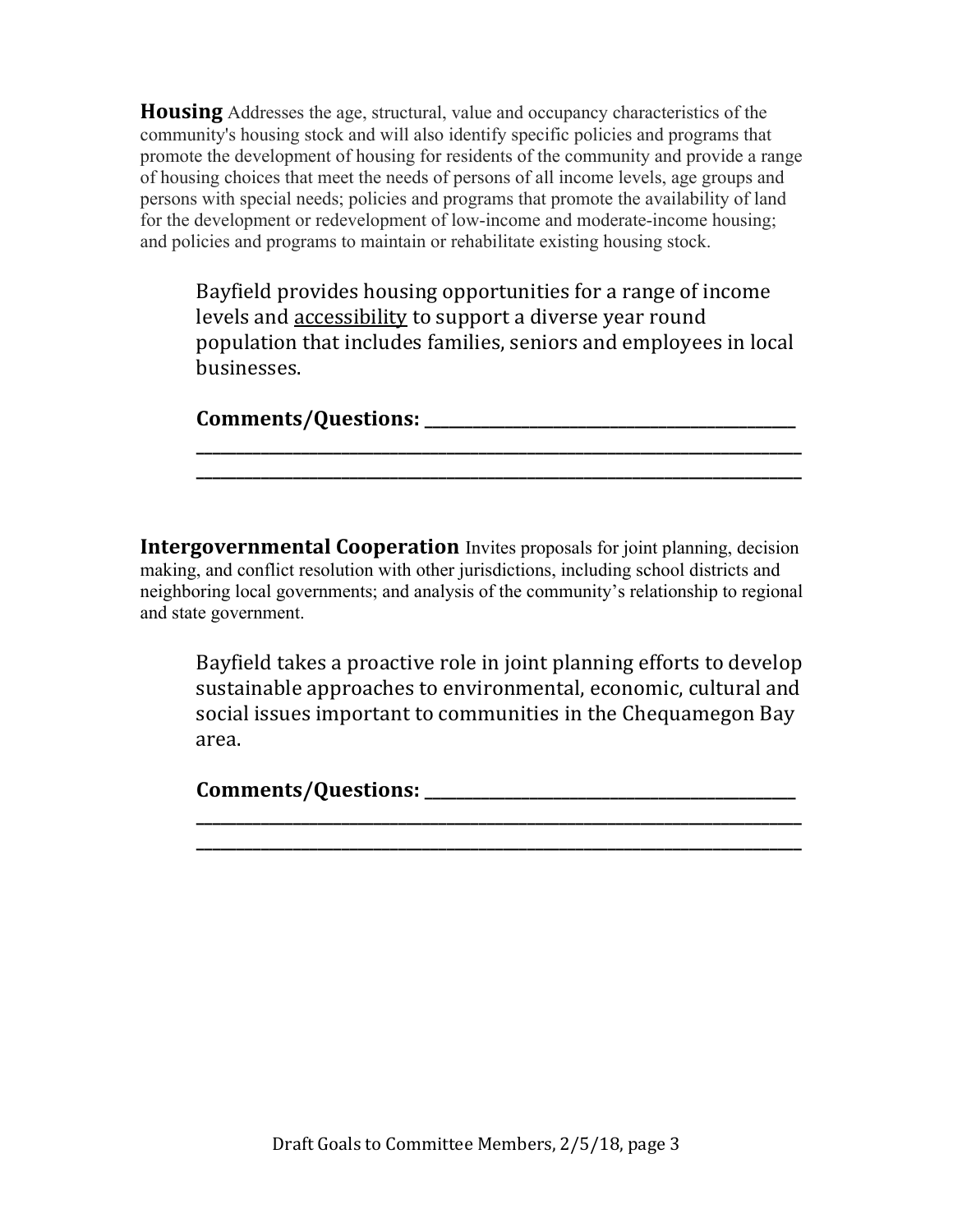**Housing** Addresses the age, structural, value and occupancy characteristics of the community's housing stock and will also identify specific policies and programs that promote the development of housing for residents of the community and provide a range of housing choices that meet the needs of persons of all income levels, age groups and persons with special needs; policies and programs that promote the availability of land for the development or redevelopment of low-income and moderate-income housing; and policies and programs to maintain or rehabilitate existing housing stock.

Bayfield provides housing opportunities for a range of income levels and accessibility to support a diverse year round population that includes families, seniors and employees in local businesses.

**\_\_\_\_\_\_\_\_\_\_\_\_\_\_\_\_\_\_\_\_\_\_\_\_\_\_\_\_\_\_\_\_\_\_\_\_\_\_\_\_\_\_\_\_\_\_\_\_\_\_\_\_\_\_\_\_\_\_\_\_\_\_\_\_\_\_\_\_\_\_\_\_\_\_\_ \_\_\_\_\_\_\_\_\_\_\_\_\_\_\_\_\_\_\_\_\_\_\_\_\_\_\_\_\_\_\_\_\_\_\_\_\_\_\_\_\_\_\_\_\_\_\_\_\_\_\_\_\_\_\_\_\_\_\_\_\_\_\_\_\_\_\_\_\_\_\_\_\_\_\_**

| <b>Comments/Questions:</b> |  |  |
|----------------------------|--|--|
|                            |  |  |

**Intergovernmental Cooperation** Invites proposals for joint planning, decision making, and conflict resolution with other jurisdictions, including school districts and neighboring local governments; and analysis of the community's relationship to regional and state government.

Bayfield takes a proactive role in joint planning efforts to develop sustainable approaches to environmental, economic, cultural and social issues important to communities in the Chequamegon Bay area. 

**\_\_\_\_\_\_\_\_\_\_\_\_\_\_\_\_\_\_\_\_\_\_\_\_\_\_\_\_\_\_\_\_\_\_\_\_\_\_\_\_\_\_\_\_\_\_\_\_\_\_\_\_\_\_\_\_\_\_\_\_\_\_\_\_\_\_\_\_\_\_\_\_\_\_\_ \_\_\_\_\_\_\_\_\_\_\_\_\_\_\_\_\_\_\_\_\_\_\_\_\_\_\_\_\_\_\_\_\_\_\_\_\_\_\_\_\_\_\_\_\_\_\_\_\_\_\_\_\_\_\_\_\_\_\_\_\_\_\_\_\_\_\_\_\_\_\_\_\_\_\_**

**Comments/Questions: \_\_\_\_\_\_\_\_\_\_\_\_\_\_\_\_\_\_\_\_\_\_\_\_\_\_\_\_\_\_\_\_\_\_\_\_\_\_\_\_\_\_\_\_\_\_**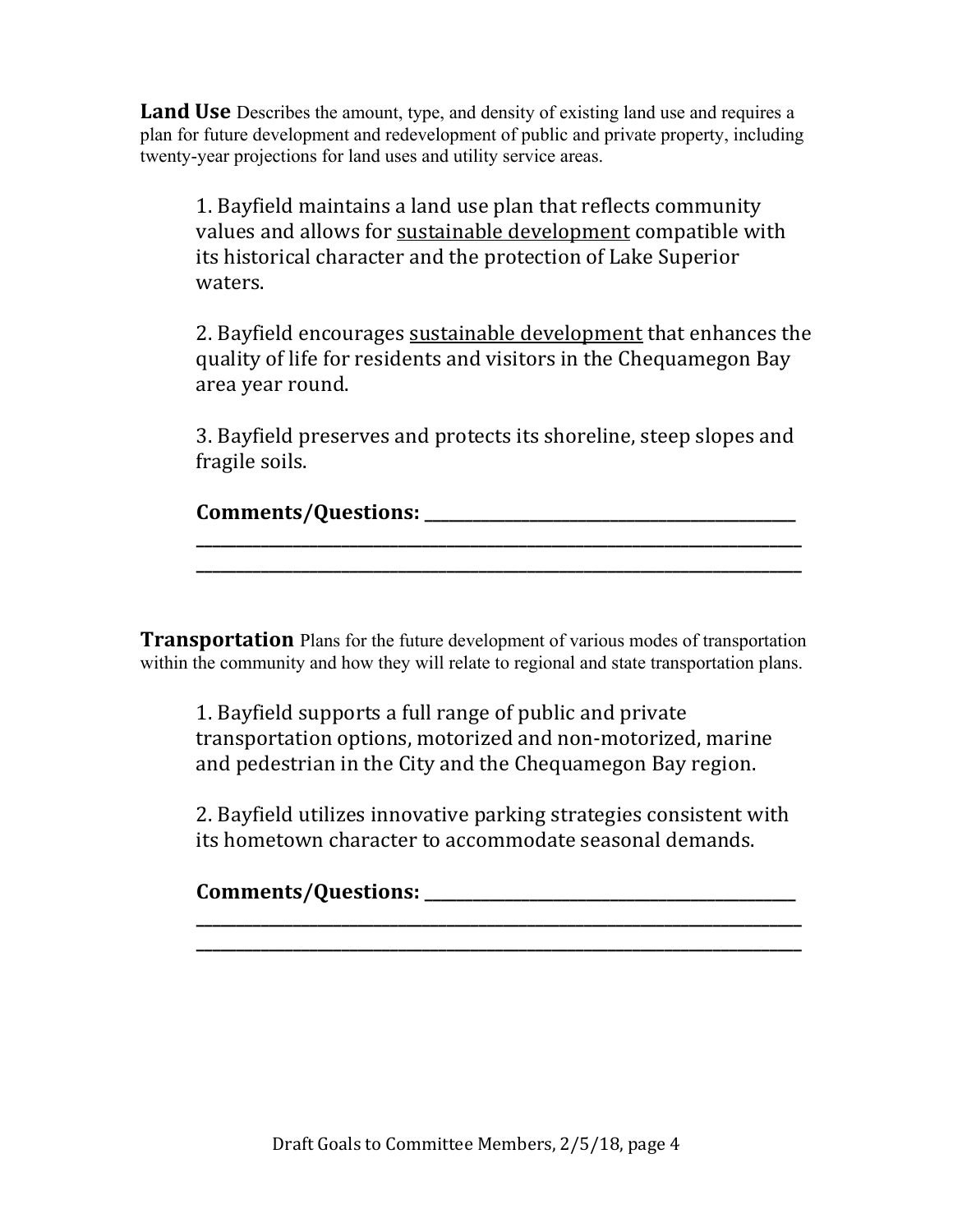**Land Use** Describes the amount, type, and density of existing land use and requires a plan for future development and redevelopment of public and private property, including twenty-year projections for land uses and utility service areas.

1. Bayfield maintains a land use plan that reflects community values and allows for sustainable development compatible with its historical character and the protection of Lake Superior waters.

2. Bayfield encourages sustainable development that enhances the quality of life for residents and visitors in the Chequamegon Bay area year round.

3. Bayfield preserves and protects its shoreline, steep slopes and fragile soils.

**Comments/Questions: \_\_\_\_\_\_\_\_\_\_\_\_\_\_\_\_\_\_\_\_\_\_\_\_\_\_\_\_\_\_\_\_\_\_\_\_\_\_\_\_\_\_\_\_\_\_**

**\_\_\_\_\_\_\_\_\_\_\_\_\_\_\_\_\_\_\_\_\_\_\_\_\_\_\_\_\_\_\_\_\_\_\_\_\_\_\_\_\_\_\_\_\_\_\_\_\_\_\_\_\_\_\_\_\_\_\_\_\_\_\_\_\_\_\_\_\_\_\_\_\_\_\_ \_\_\_\_\_\_\_\_\_\_\_\_\_\_\_\_\_\_\_\_\_\_\_\_\_\_\_\_\_\_\_\_\_\_\_\_\_\_\_\_\_\_\_\_\_\_\_\_\_\_\_\_\_\_\_\_\_\_\_\_\_\_\_\_\_\_\_\_\_\_\_\_\_\_\_**

**Transportation** Plans for the future development of various modes of transportation within the community and how they will relate to regional and state transportation plans.

1. Bayfield supports a full range of public and private transportation options, motorized and non-motorized, marine and pedestrian in the City and the Chequamegon Bay region.

2. Bayfield utilizes innovative parking strategies consistent with its hometown character to accommodate seasonal demands.

**\_\_\_\_\_\_\_\_\_\_\_\_\_\_\_\_\_\_\_\_\_\_\_\_\_\_\_\_\_\_\_\_\_\_\_\_\_\_\_\_\_\_\_\_\_\_\_\_\_\_\_\_\_\_\_\_\_\_\_\_\_\_\_\_\_\_\_\_\_\_\_\_\_\_\_ \_\_\_\_\_\_\_\_\_\_\_\_\_\_\_\_\_\_\_\_\_\_\_\_\_\_\_\_\_\_\_\_\_\_\_\_\_\_\_\_\_\_\_\_\_\_\_\_\_\_\_\_\_\_\_\_\_\_\_\_\_\_\_\_\_\_\_\_\_\_\_\_\_\_\_**

## **Comments/Questions: \_\_\_\_\_\_\_\_\_\_\_\_\_\_\_\_\_\_\_\_\_\_\_\_\_\_\_\_\_\_\_\_\_\_\_\_\_\_\_\_\_\_\_\_\_\_**